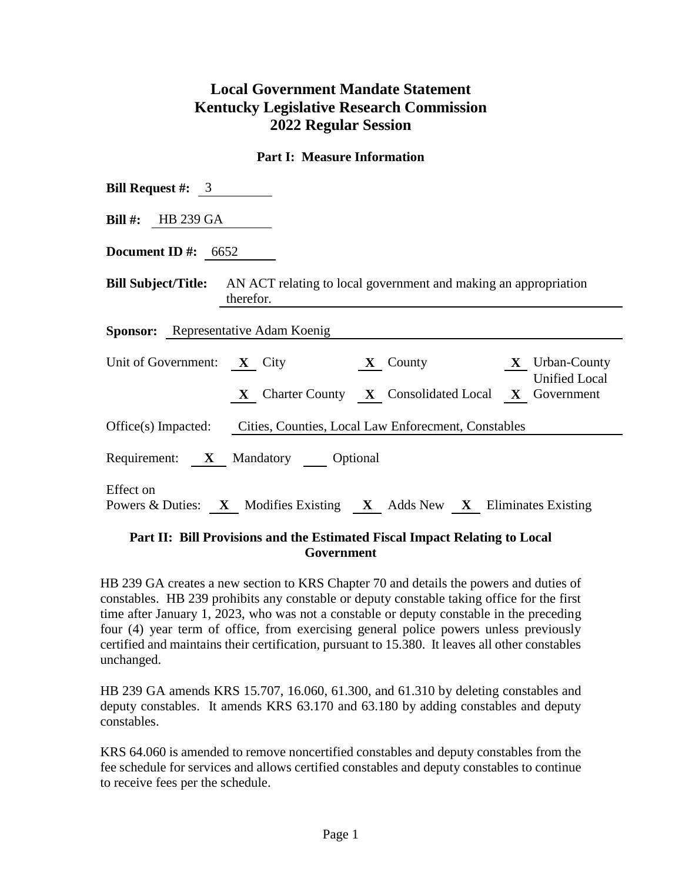# **Local Government Mandate Statement Kentucky Legislative Research Commission 2022 Regular Session**

#### **Part I: Measure Information**

| <b>Bill Request #:</b> $\overline{3}$                                                                                            |  |  |  |  |  |  |  |
|----------------------------------------------------------------------------------------------------------------------------------|--|--|--|--|--|--|--|
| <b>Bill #:</b> HB 239 GA                                                                                                         |  |  |  |  |  |  |  |
| Document ID #: $6652$                                                                                                            |  |  |  |  |  |  |  |
| <b>Bill Subject/Title:</b> AN ACT relating to local government and making an appropriation<br>therefor.                          |  |  |  |  |  |  |  |
| <b>Sponsor:</b> Representative Adam Koenig                                                                                       |  |  |  |  |  |  |  |
| Unit of Government: X City X County X Urban-County<br><b>Unified Local</b><br>X Charter County X Consolidated Local X Government |  |  |  |  |  |  |  |
| Office(s) Impacted: Cities, Counties, Local Law Enforement, Constables                                                           |  |  |  |  |  |  |  |
| Requirement: X Mandatory Optional                                                                                                |  |  |  |  |  |  |  |
| Effect on<br>Powers & Duties: X Modifies Existing X Adds New X Eliminates Existing                                               |  |  |  |  |  |  |  |

### **Part II: Bill Provisions and the Estimated Fiscal Impact Relating to Local Government**

HB 239 GA creates a new section to KRS Chapter 70 and details the powers and duties of constables. HB 239 prohibits any constable or deputy constable taking office for the first time after January 1, 2023, who was not a constable or deputy constable in the preceding four (4) year term of office, from exercising general police powers unless previously certified and maintains their certification, pursuant to 15.380. It leaves all other constables unchanged.

HB 239 GA amends KRS 15.707, 16.060, 61.300, and 61.310 by deleting constables and deputy constables. It amends KRS 63.170 and 63.180 by adding constables and deputy constables.

KRS 64.060 is amended to remove noncertified constables and deputy constables from the fee schedule for services and allows certified constables and deputy constables to continue to receive fees per the schedule.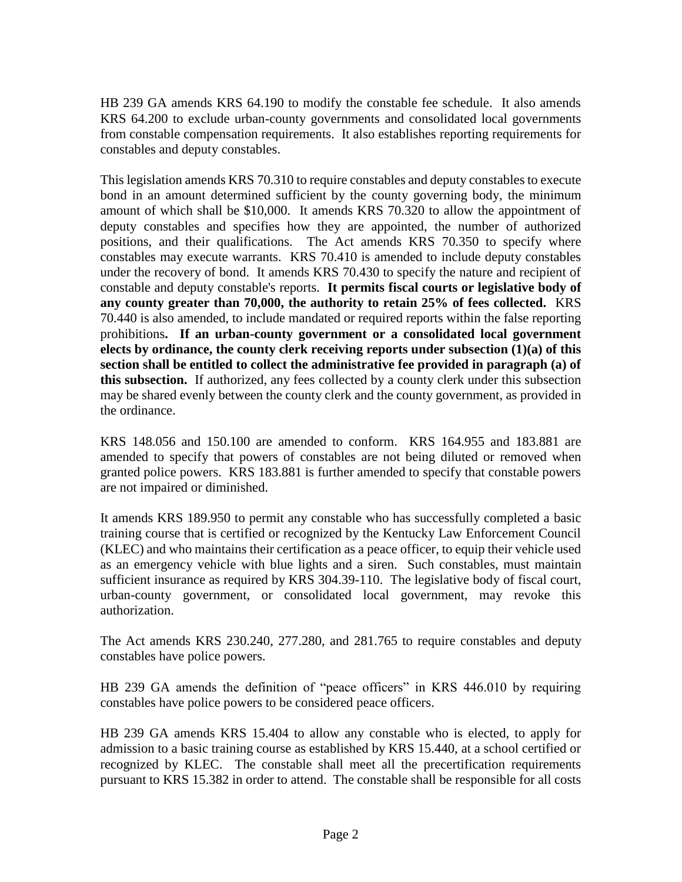HB 239 GA amends KRS 64.190 to modify the constable fee schedule. It also amends KRS 64.200 to exclude urban-county governments and consolidated local governments from constable compensation requirements. It also establishes reporting requirements for constables and deputy constables.

This legislation amends KRS 70.310 to require constables and deputy constables to execute bond in an amount determined sufficient by the county governing body, the minimum amount of which shall be \$10,000. It amends KRS 70.320 to allow the appointment of deputy constables and specifies how they are appointed, the number of authorized positions, and their qualifications. The Act amends KRS 70.350 to specify where constables may execute warrants. KRS 70.410 is amended to include deputy constables under the recovery of bond. It amends KRS 70.430 to specify the nature and recipient of constable and deputy constable's reports. **It permits fiscal courts or legislative body of any county greater than 70,000, the authority to retain 25% of fees collected.** KRS 70.440 is also amended, to include mandated or required reports within the false reporting prohibitions**. If an urban-county government or a consolidated local government elects by ordinance, the county clerk receiving reports under subsection (1)(a) of this section shall be entitled to collect the administrative fee provided in paragraph (a) of this subsection.** If authorized, any fees collected by a county clerk under this subsection may be shared evenly between the county clerk and the county government, as provided in the ordinance.

KRS 148.056 and 150.100 are amended to conform. KRS 164.955 and 183.881 are amended to specify that powers of constables are not being diluted or removed when granted police powers. KRS 183.881 is further amended to specify that constable powers are not impaired or diminished.

It amends KRS 189.950 to permit any constable who has successfully completed a basic training course that is certified or recognized by the Kentucky Law Enforcement Council (KLEC) and who maintains their certification as a peace officer, to equip their vehicle used as an emergency vehicle with blue lights and a siren. Such constables, must maintain sufficient insurance as required by KRS 304.39-110. The legislative body of fiscal court, urban-county government, or consolidated local government, may revoke this authorization.

The Act amends KRS 230.240, 277.280, and 281.765 to require constables and deputy constables have police powers.

HB 239 GA amends the definition of "peace officers" in KRS 446.010 by requiring constables have police powers to be considered peace officers.

HB 239 GA amends KRS 15.404 to allow any constable who is elected, to apply for admission to a basic training course as established by KRS 15.440, at a school certified or recognized by KLEC. The constable shall meet all the precertification requirements pursuant to KRS 15.382 in order to attend. The constable shall be responsible for all costs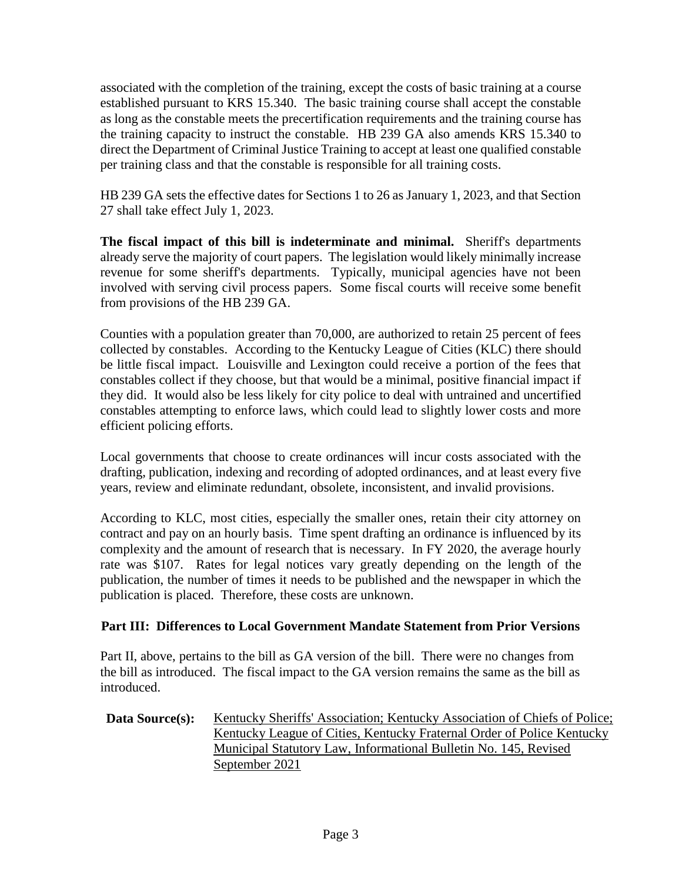associated with the completion of the training, except the costs of basic training at a course established pursuant to KRS 15.340. The basic training course shall accept the constable as long as the constable meets the precertification requirements and the training course has the training capacity to instruct the constable. HB 239 GA also amends KRS 15.340 to direct the Department of Criminal Justice Training to accept at least one qualified constable per training class and that the constable is responsible for all training costs.

HB 239 GA sets the effective dates for Sections 1 to 26 as January 1, 2023, and that Section 27 shall take effect July 1, 2023.

**The fiscal impact of this bill is indeterminate and minimal.** Sheriff's departments already serve the majority of court papers. The legislation would likely minimally increase revenue for some sheriff's departments. Typically, municipal agencies have not been involved with serving civil process papers. Some fiscal courts will receive some benefit from provisions of the HB 239 GA.

Counties with a population greater than 70,000, are authorized to retain 25 percent of fees collected by constables. According to the Kentucky League of Cities (KLC) there should be little fiscal impact. Louisville and Lexington could receive a portion of the fees that constables collect if they choose, but that would be a minimal, positive financial impact if they did. It would also be less likely for city police to deal with untrained and uncertified constables attempting to enforce laws, which could lead to slightly lower costs and more efficient policing efforts.

Local governments that choose to create ordinances will incur costs associated with the drafting, publication, indexing and recording of adopted ordinances, and at least every five years, review and eliminate redundant, obsolete, inconsistent, and invalid provisions.

According to KLC, most cities, especially the smaller ones, retain their city attorney on contract and pay on an hourly basis. Time spent drafting an ordinance is influenced by its complexity and the amount of research that is necessary. In FY 2020, the average hourly rate was \$107. Rates for legal notices vary greatly depending on the length of the publication, the number of times it needs to be published and the newspaper in which the publication is placed. Therefore, these costs are unknown.

## **Part III: Differences to Local Government Mandate Statement from Prior Versions**

Part II, above, pertains to the bill as GA version of the bill. There were no changes from the bill as introduced. The fiscal impact to the GA version remains the same as the bill as introduced.

#### **Data Source(s):** Kentucky Sheriffs' Association; Kentucky Association of Chiefs of Police; Kentucky League of Cities, Kentucky Fraternal Order of Police Kentucky Municipal Statutory Law, Informational Bulletin No. 145, Revised September 2021